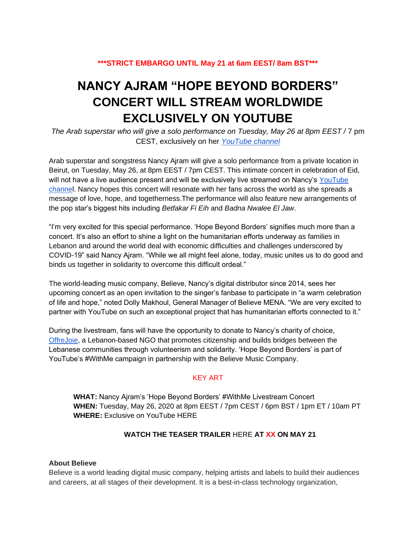## **\*\*\*STRICT EMBARGO UNTIL May 21 at 6am EEST/ 8am BST\*\*\***

# **NANCY AJRAM "HOPE BEYOND BORDERS" CONCERT WILL STREAM WORLDWIDE EXCLUSIVELY ON YOUTUBE**

*The Arab superstar who will give a solo performance on Tuesday, May 26 at 8pm EEST /* 7 pm CEST, exclusively on her *[YouTube channel](https://www.youtube.com/channel/UChnf7fs7mlfbzsJpwWnJBYA)*

Arab superstar and songstress Nancy Ajram will give a solo performance from a private location in Beirut, on Tuesday, May 26, at 8pm EEST / 7pm CEST. This intimate concert in celebration of Eid, will not have a live audience present and will be exclusively live streamed on Nancy's YouTube [channel.](https://www.youtube.com/channel/UChnf7fs7mlfbzsJpwWnJBYA) Nancy hopes this concert will resonate with her fans across the world as she spreads a message of love, hope, and togetherness.The performance will also feature new arrangements of the pop star's biggest hits including *Betfakar Fi Eih* and *Badna Nwalee El Jaw*.

"I'm very excited for this special performance. 'Hope Beyond Borders' signifies much more than a concert. It's also an effort to shine a light on the humanitarian efforts underway as families in Lebanon and around the world deal with economic difficulties and challenges underscored by COVID-19" said Nancy Ajram. "While we all might feel alone, today, music unites us to do good and binds us together in solidarity to overcome this difficult ordeal."

The world-leading music company, Believe, Nancy's digital distributor since 2014, sees her upcoming concert as an open invitation to the singer's fanbase to participate in "a warm celebration of life and hope," noted Dolly Makhoul, General Manager of Believe MENA. "We are very excited to partner with YouTube on such an exceptional project that has humanitarian efforts connected to it."

During the livestream, fans will have the opportunity to donate to Nancy's charity of choice, [OffreJoie,](http://www.offrejoie.org/about) a Lebanon-based NGO that promotes citizenship and builds bridges between the Lebanese communities through volunteerism and solidarity. 'Hope Beyond Borders' is part of YouTube's #WithMe campaign in partnership with the Believe Music Company.

### KEY ART

**WHAT:** Nancy Ajram's 'Hope Beyond Borders' #WithMe Livestream Concert **WHEN:** Tuesday, May 26, 2020 at 8pm EEST / 7pm CEST / 6pm BST / 1pm ET / 10am PT **WHERE:** Exclusive on YouTube HERE

### **WATCH THE TEASER TRAILER** HERE **AT XX ON MAY 21**

### **About Believe**

Believe is a world leading digital music company, helping artists and labels to build their audiences and careers, at all stages of their development. It is a best-in-class technology organization,